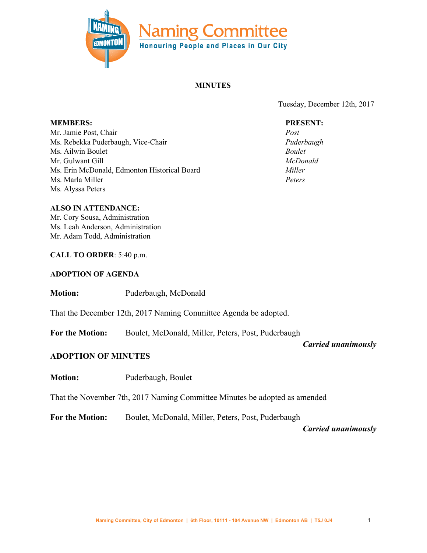

### **MINUTES**

Tuesday, December 12th, 2017

#### **PRESENT:**

*Post Puderbaugh Boulet McDonald Miller Peters*

**MEMBERS:** Mr. Jamie Post, Chair Ms. Rebekka Puderbaugh, Vice-Chair Ms. Ailwin Boulet Mr. Gulwant Gill Ms. Erin McDonald, Edmonton Historical Board Ms. Marla Miller Ms. Alyssa Peters

#### **ALSO IN ATTENDANCE:**

Mr. Cory Sousa, Administration Ms. Leah Anderson, Administration Mr. Adam Todd, Administration

#### **CALL TO ORDER**: 5:40 p.m.

#### **ADOPTION OF AGENDA**

#### **Motion:** Puderbaugh, McDonald

That the December 12th, 2017 Naming Committee Agenda be adopted.

**For the Motion:** Boulet, McDonald, Miller, Peters, Post, Puderbaugh

*Carried unanimously*

### **ADOPTION OF MINUTES**

**Motion:** Puderbaugh, Boulet

That the November 7th, 2017 Naming Committee Minutes be adopted as amended

**For the Motion:** Boulet, McDonald, Miller, Peters, Post, Puderbaugh

*Carried unanimously*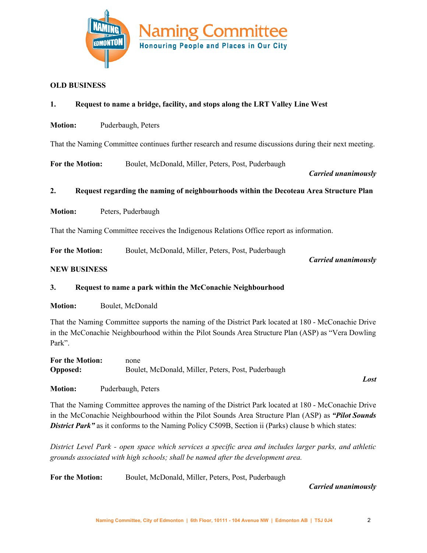

#### **OLD BUSINESS**

#### **1. Request to name a bridge, facility, and stops along the LRT Valley Line West**

**Motion:** Puderbaugh, Peters

That the Naming Committee continues further research and resume discussions during their next meeting.

**For the Motion:** Boulet, McDonald, Miller, Peters, Post, Puderbaugh

*Carried unanimously*

#### **2. Request regarding the naming of neighbourhoods within the Decoteau Area Structure Plan**

**Motion:** Peters, Puderbaugh

That the Naming Committee receives the Indigenous Relations Office report as information.

**For the Motion:** Boulet, McDonald, Miller, Peters, Post, Puderbaugh

*Carried unanimously*

#### **NEW BUSINESS**

#### **3. Request to name a park within the McConachie Neighbourhood**

**Motion:** Boulet, McDonald

That the Naming Committee supports the naming of the District Park located at 180 - McConachie Drive in the McConachie Neighbourhood within the Pilot Sounds Area Structure Plan (ASP) as "Vera Dowling Park".

| <b>For the Motion:</b> | none                                               |
|------------------------|----------------------------------------------------|
| <b>Opposed:</b>        | Boulet, McDonald, Miller, Peters, Post, Puderbaugh |

**Motion:** Puderbaugh, Peters

That the Naming Committee approves the naming of the District Park located at 180 - McConachie Drive in the McConachie Neighbourhood within the Pilot Sounds Area Structure Plan (ASP) as *"Pilot Sounds* **District Park"** as it conforms to the Naming Policy C509B, Section ii (Parks) clause b which states:

*District Level Park - open space which services a specific area and includes larger parks, and athletic grounds associated with high schools; shall be named after the development area.*

**For the Motion:** Boulet, McDonald, Miller, Peters, Post, Puderbaugh

*Carried unanimously*

*Lost*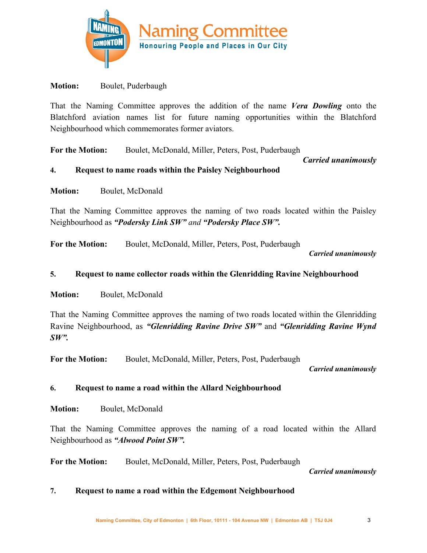

## **Motion:** Boulet, Puderbaugh

That the Naming Committee approves the addition of the name *Vera Dowling* onto the Blatchford aviation names list for future naming opportunities within the Blatchford Neighbourhood which commemorates former aviators.

**For the Motion:** Boulet, McDonald, Miller, Peters, Post, Puderbaugh

 *Carried unanimously*

## **4. Request to name roads within the Paisley Neighbourhood**

**Motion:** Boulet, McDonald

That the Naming Committee approves the naming of two roads located within the Paisley Neighbourhood as *"Podersky Link SW" and "Podersky Place SW".*

**For the Motion:** Boulet, McDonald, Miller, Peters, Post, Puderbaugh

*Carried unanimously*

## **5. Request to name collector roads within the Glenridding Ravine Neighbourhood**

**Motion:** Boulet, McDonald

That the Naming Committee approves the naming of two roads located within the Glenridding Ravine Neighbourhood, as *"Glenridding Ravine Drive SW"* and *"Glenridding Ravine Wynd SW".*

**For the Motion:** Boulet, McDonald, Miller, Peters, Post, Puderbaugh

*Carried unanimously*

# **6. Request to name a road within the Allard Neighbourhood**

**Motion:** Boulet, McDonald

That the Naming Committee approves the naming of a road located within the Allard Neighbourhood as *"Alwood Point SW".*

**For the Motion:** Boulet, McDonald, Miller, Peters, Post, Puderbaugh

*Carried unanimously*

### **7. Request to name a road within the Edgemont Neighbourhood**